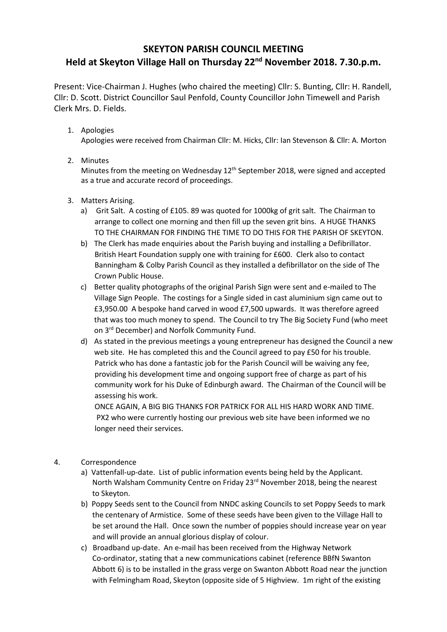## **SKEYTON PARISH COUNCIL MEETING Held at Skeyton Village Hall on Thursday 22nd November 2018. 7.30.p.m.**

Present: Vice-Chairman J. Hughes (who chaired the meeting) Cllr: S. Bunting, Cllr: H. Randell, Cllr: D. Scott. District Councillor Saul Penfold, County Councillor John Timewell and Parish Clerk Mrs. D. Fields.

1. Apologies

Apologies were received from Chairman Cllr: M. Hicks, Cllr: Ian Stevenson & Cllr: A. Morton

2. Minutes

Minutes from the meeting on Wednesday 12<sup>th</sup> September 2018, were signed and accepted as a true and accurate record of proceedings.

- 3. Matters Arising.
	- a) Grit Salt. A costing of £105. 89 was quoted for 1000kg of grit salt. The Chairman to arrange to collect one morning and then fill up the seven grit bins. A HUGE THANKS TO THE CHAIRMAN FOR FINDING THE TIME TO DO THIS FOR THE PARISH OF SKEYTON.
	- b) The Clerk has made enquiries about the Parish buying and installing a Defibrillator. British Heart Foundation supply one with training for £600. Clerk also to contact Banningham & Colby Parish Council as they installed a defibrillator on the side of The Crown Public House.
	- c) Better quality photographs of the original Parish Sign were sent and e-mailed to The Village Sign People. The costings for a Single sided in cast aluminium sign came out to £3,950.00 A bespoke hand carved in wood £7,500 upwards. It was therefore agreed that was too much money to spend. The Council to try The Big Society Fund (who meet on 3<sup>rd</sup> December) and Norfolk Community Fund.
	- d) As stated in the previous meetings a young entrepreneur has designed the Council a new web site. He has completed this and the Council agreed to pay £50 for his trouble. Patrick who has done a fantastic job for the Parish Council will be waiving any fee, providing his development time and ongoing support free of charge as part of his community work for his Duke of Edinburgh award. The Chairman of the Council will be assessing his work.

ONCE AGAIN, A BIG BIG THANKS FOR PATRICK FOR ALL HIS HARD WORK AND TIME. PX2 who were currently hosting our previous web site have been informed we no longer need their services.

- 4. Correspondence
	- a) Vattenfall-up-date. List of public information events being held by the Applicant. North Walsham Community Centre on Friday 23<sup>rd</sup> November 2018, being the nearest to Skeyton.
	- b) Poppy Seeds sent to the Council from NNDC asking Councils to set Poppy Seeds to mark the centenary of Armistice. Some of these seeds have been given to the Village Hall to be set around the Hall. Once sown the number of poppies should increase year on year and will provide an annual glorious display of colour.
	- c) Broadband up-date. An e-mail has been received from the Highway Network Co-ordinator, stating that a new communications cabinet (reference BBfN Swanton Abbott 6) is to be installed in the grass verge on Swanton Abbott Road near the junction with Felmingham Road, Skeyton (opposite side of 5 Highview. 1m right of the existing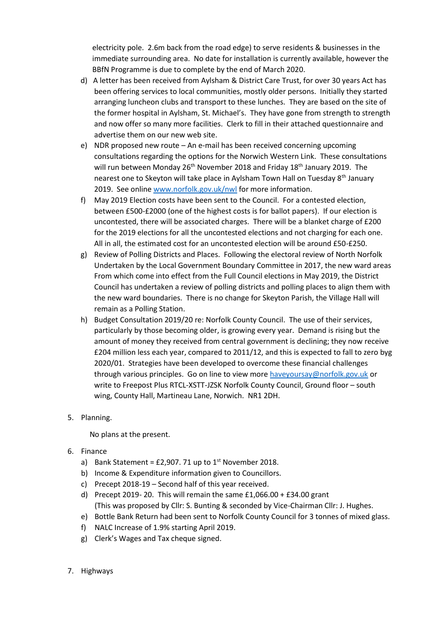electricity pole. 2.6m back from the road edge) to serve residents & businesses in the immediate surrounding area. No date for installation is currently available, however the BBfN Programme is due to complete by the end of March 2020.

- d) A letter has been received from Aylsham & District Care Trust, for over 30 years Act has been offering services to local communities, mostly older persons. Initially they started arranging luncheon clubs and transport to these lunches. They are based on the site of the former hospital in Aylsham, St. Michael's. They have gone from strength to strength and now offer so many more facilities. Clerk to fill in their attached questionnaire and advertise them on our new web site.
- e) NDR proposed new route An e-mail has been received concerning upcoming consultations regarding the options for the Norwich Western Link. These consultations will run between Monday 26<sup>th</sup> November 2018 and Friday 18<sup>th</sup> January 2019. The nearest one to Skeyton will take place in Aylsham Town Hall on Tuesday 8<sup>th</sup> January 2019. See onlin[e www.norfolk.gov.uk/nwl](http://www.norfolk.gov.uk/nwl) for more information.
- f) May 2019 Election costs have been sent to the Council. For a contested election, between £500-£2000 (one of the highest costs is for ballot papers). If our election is uncontested, there will be associated charges. There will be a blanket charge of £200 for the 2019 elections for all the uncontested elections and not charging for each one. All in all, the estimated cost for an uncontested election will be around £50-£250.
- g) Review of Polling Districts and Places. Following the electoral review of North Norfolk Undertaken by the Local Government Boundary Committee in 2017, the new ward areas From which come into effect from the Full Council elections in May 2019, the District Council has undertaken a review of polling districts and polling places to align them with the new ward boundaries. There is no change for Skeyton Parish, the Village Hall will remain as a Polling Station.
- h) Budget Consultation 2019/20 re: Norfolk County Council. The use of their services, particularly by those becoming older, is growing every year. Demand is rising but the amount of money they received from central government is declining; they now receive £204 million less each year, compared to 2011/12, and this is expected to fall to zero byg 2020/01. Strategies have been developed to overcome these financial challenges through various principles. Go on line to view mor[e haveyoursay@norfolk.gov.uk](mailto:haveyoursay@norfolk.gov.uk) or write to Freepost Plus RTCL-XSTT-JZSK Norfolk County Council, Ground floor – south wing, County Hall, Martineau Lane, Norwich. NR1 2DH.
- 5. Planning.

No plans at the present.

- 6. Finance
	- a) Bank Statement =  $£2,907.71$  up to 1<sup>st</sup> November 2018.
	- b) Income & Expenditure information given to Councillors.
	- c) Precept 2018-19 Second half of this year received.
	- d) Precept 2019- 20. This will remain the same £1,066.00 + £34.00 grant (This was proposed by Cllr: S. Bunting & seconded by Vice-Chairman Cllr: J. Hughes.
	- e) Bottle Bank Return had been sent to Norfolk County Council for 3 tonnes of mixed glass.
	- f) NALC Increase of 1.9% starting April 2019.
	- g) Clerk's Wages and Tax cheque signed.
- 7. Highways